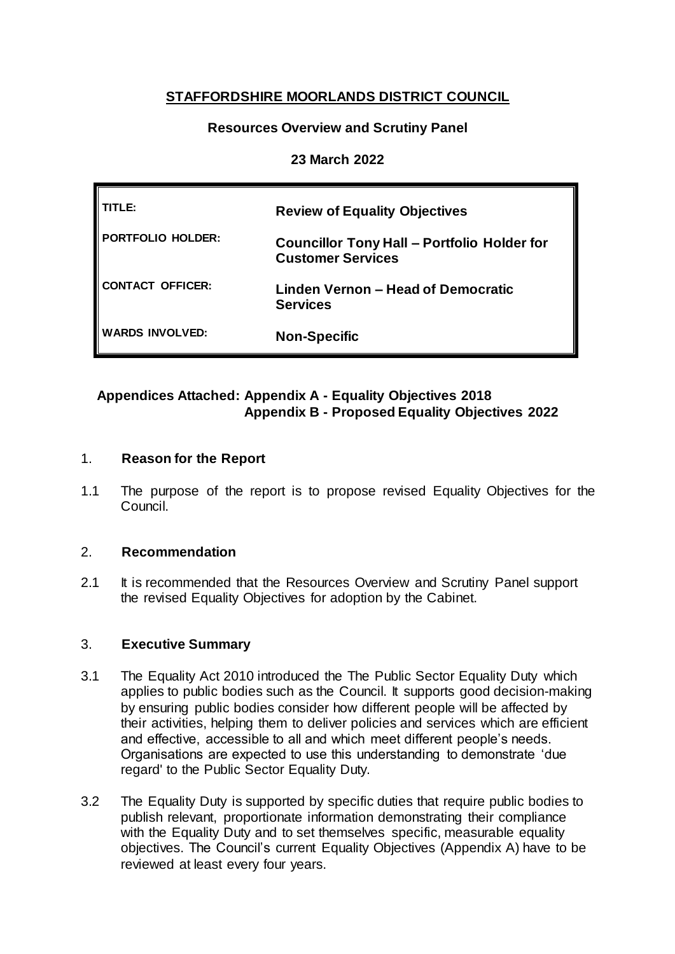# **STAFFORDSHIRE MOORLANDS DISTRICT COUNCIL**

## **Resources Overview and Scrutiny Panel**

### **23 March 2022**

| TITLE:                   | <b>Review of Equality Objectives</b>                                           |
|--------------------------|--------------------------------------------------------------------------------|
| <b>PORTFOLIO HOLDER:</b> | <b>Councillor Tony Hall - Portfolio Holder for</b><br><b>Customer Services</b> |
| <b>CONTACT OFFICER:</b>  | Linden Vernon - Head of Democratic<br><b>Services</b>                          |
| <b>WARDS INVOLVED:</b>   | <b>Non-Specific</b>                                                            |

## **Appendices Attached: Appendix A - Equality Objectives 2018 Appendix B - Proposed Equality Objectives 2022**

### 1. **Reason for the Report**

1.1 The purpose of the report is to propose revised Equality Objectives for the Council.

### 2. **Recommendation**

2.1 It is recommended that the Resources Overview and Scrutiny Panel support the revised Equality Objectives for adoption by the Cabinet.

### 3. **Executive Summary**

- 3.1 The Equality Act 2010 introduced the The Public Sector Equality Duty which applies to public bodies such as the Council. It supports good decision-making by ensuring public bodies consider how different people will be affected by their activities, helping them to deliver policies and services which are efficient and effective, accessible to all and which meet different people's needs. Organisations are expected to use this understanding to demonstrate 'due regard' to the Public Sector Equality Duty.
- 3.2 The Equality Duty is supported by specific duties that require public bodies to publish relevant, proportionate information demonstrating their compliance with the Equality Duty and to set themselves specific, measurable equality objectives. The Council's current Equality Objectives (Appendix A) have to be reviewed at least every four years.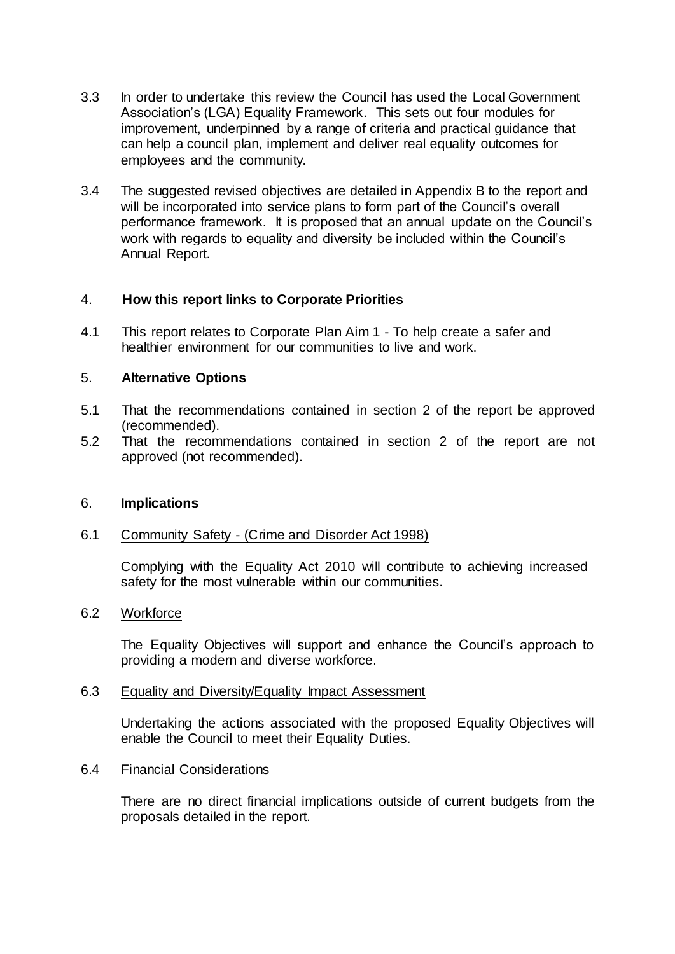- 3.3 In order to undertake this review the Council has used the Local Government Association's (LGA) Equality Framework. This sets out four modules for improvement, underpinned by a range of criteria and practical guidance that can help a council plan, implement and deliver real equality outcomes for employees and the community.
- 3.4 The suggested revised objectives are detailed in Appendix B to the report and will be incorporated into service plans to form part of the Council's overall performance framework. It is proposed that an annual update on the Council's work with regards to equality and diversity be included within the Council's Annual Report.

### 4. **How this report links to Corporate Priorities**

4.1 This report relates to Corporate Plan Aim 1 - To help create a safer and healthier environment for our communities to live and work.

### 5. **Alternative Options**

- 5.1 That the recommendations contained in section 2 of the report be approved (recommended).
- 5.2 That the recommendations contained in section 2 of the report are not approved (not recommended).

### 6. **Implications**

### 6.1 Community Safety - (Crime and Disorder Act 1998)

Complying with the Equality Act 2010 will contribute to achieving increased safety for the most vulnerable within our communities.

#### 6.2 Workforce

The Equality Objectives will support and enhance the Council's approach to providing a modern and diverse workforce.

#### 6.3 Equality and Diversity/Equality Impact Assessment

Undertaking the actions associated with the proposed Equality Objectives will enable the Council to meet their Equality Duties.

#### 6.4 Financial Considerations

There are no direct financial implications outside of current budgets from the proposals detailed in the report.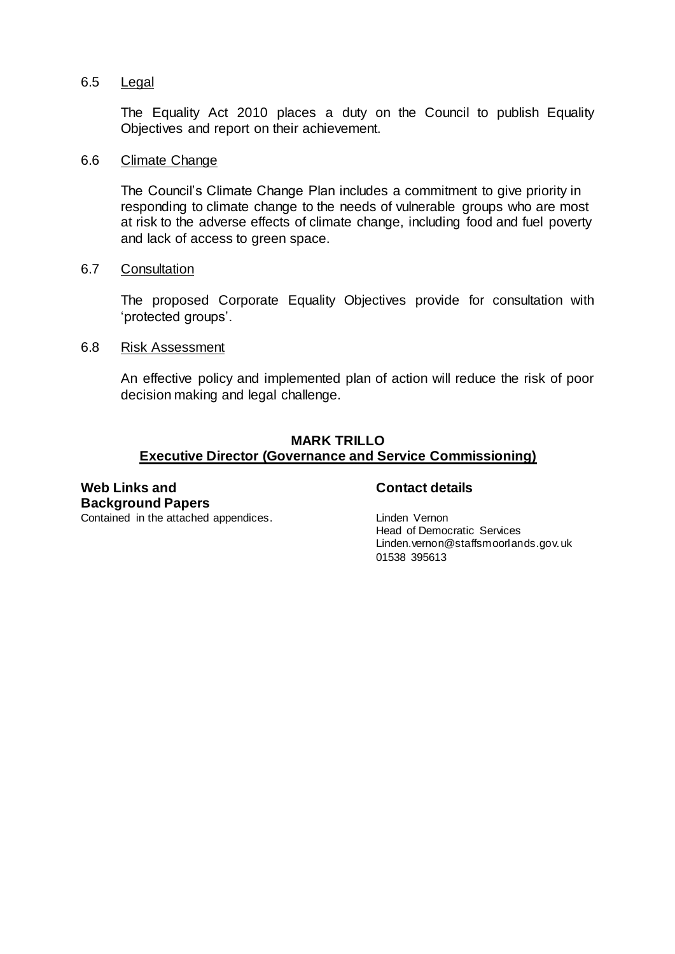#### 6.5 Legal

The Equality Act 2010 places a duty on the Council to publish Equality Objectives and report on their achievement.

#### 6.6 Climate Change

The Council's Climate Change Plan includes a commitment to give priority in responding to climate change to the needs of vulnerable groups who are most at risk to the adverse effects of climate change, including food and fuel poverty and lack of access to green space.

#### 6.7 Consultation

The proposed Corporate Equality Objectives provide for consultation with 'protected groups'.

#### 6.8 Risk Assessment

An effective policy and implemented plan of action will reduce the risk of poor decision making and legal challenge.

### **MARK TRILLO Executive Director (Governance and Service Commissioning)**

## **Web Links and Background Papers**

### **Contact details**

Head of Democratic Services Linden.vernon@staffsmoorlands.gov.uk 01538 395613

Contained in the attached appendices. The contained in the attached appendices.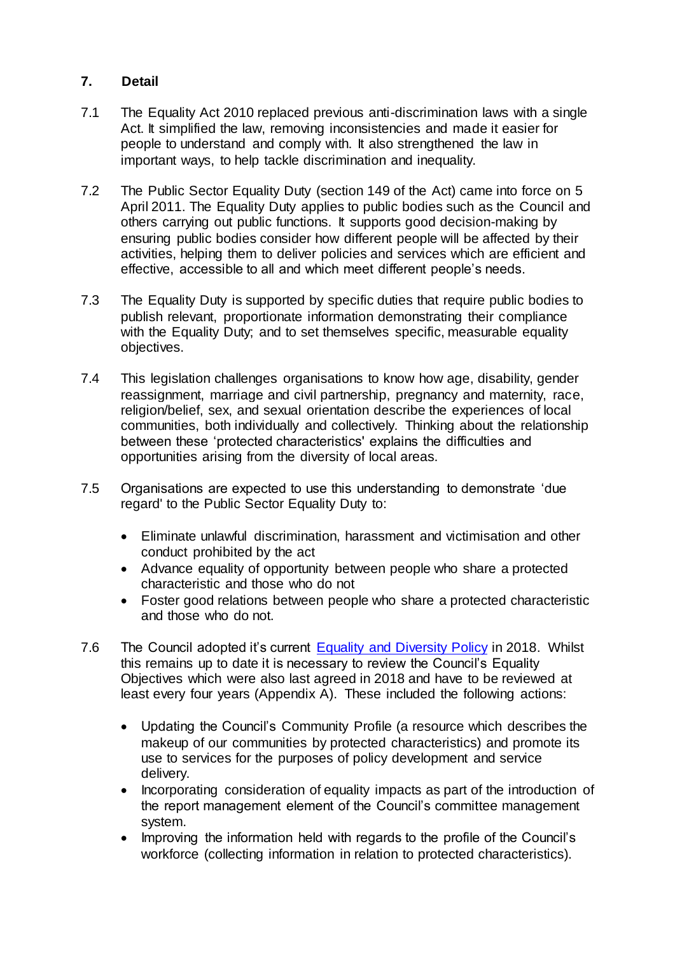## **7. Detail**

- 7.1 The Equality Act 2010 replaced previous anti-discrimination laws with a single Act. It simplified the law, removing inconsistencies and made it easier for people to understand and comply with. It also strengthened the law in important ways, to help tackle discrimination and inequality.
- 7.2 The Public Sector Equality Duty (section 149 of the Act) came into force on 5 April 2011. The Equality Duty applies to public bodies such as the Council and others carrying out public functions. It supports good decision-making by ensuring public bodies consider how different people will be affected by their activities, helping them to deliver policies and services which are efficient and effective, accessible to all and which meet different people's needs.
- 7.3 The Equality Duty is supported by specific duties that require public bodies to publish relevant, proportionate information demonstrating their compliance with the Equality Duty; and to set themselves specific, measurable equality objectives.
- 7.4 This legislation challenges organisations to know how age, disability, gender reassignment, marriage and civil partnership, pregnancy and maternity, race, religion/belief, sex, and sexual orientation describe the experiences of local communities, both individually and collectively. Thinking about the relationship between these 'protected characteristics' explains the difficulties and opportunities arising from the diversity of local areas.
- 7.5 Organisations are expected to use this understanding to demonstrate 'due regard' to the Public Sector Equality Duty to:
	- Eliminate unlawful discrimination, harassment and victimisation and other conduct prohibited by the act
	- Advance equality of opportunity between people who share a protected characteristic and those who do not
	- Foster good relations between people who share a protected characteristic and those who do not.
- 7.6 The Council adopted it's current [Equality and Diversity Policy](https://www.staffsmoorlands.gov.uk/article/679/Equality-and-diversity) in 2018. Whilst this remains up to date it is necessary to review the Council's Equality Objectives which were also last agreed in 2018 and have to be reviewed at least every four years (Appendix A). These included the following actions:
	- Updating the Council's Community Profile (a resource which describes the makeup of our communities by protected characteristics) and promote its use to services for the purposes of policy development and service delivery.
	- Incorporating consideration of equality impacts as part of the introduction of the report management element of the Council's committee management system.
	- Improving the information held with regards to the profile of the Council's workforce (collecting information in relation to protected characteristics).